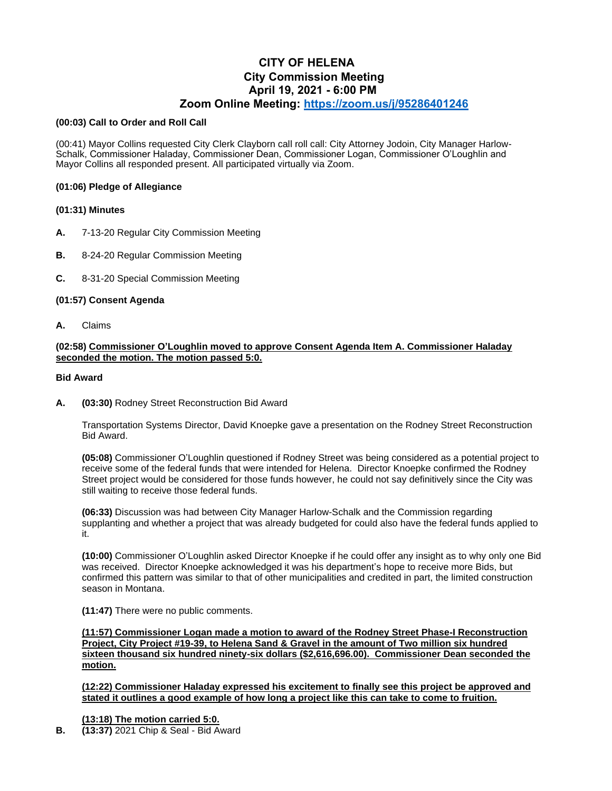# **CITY OF HELENA City Commission Meeting April 19, 2021 - 6:00 PM Zoom Online Meeting:<https://zoom.us/j/95286401246>**

#### **(00:03) Call to Order and Roll Call**

(00:41) Mayor Collins requested City Clerk Clayborn call roll call: City Attorney Jodoin, City Manager Harlow-Schalk, Commissioner Haladay, Commissioner Dean, Commissioner Logan, Commissioner O'Loughlin and Mayor Collins all responded present. All participated virtually via Zoom.

## **(01:06) Pledge of Allegiance**

## **(01:31) Minutes**

- **A.** 7-13-20 Regular City Commission Meeting
- **B.** 8-24-20 Regular Commission Meeting
- **C.** 8-31-20 Special Commission Meeting

## **(01:57) Consent Agenda**

**A.** Claims

## **(02:58) Commissioner O'Loughlin moved to approve Consent Agenda Item A. Commissioner Haladay seconded the motion. The motion passed 5:0.**

## **Bid Award**

**A. (03:30)** Rodney Street Reconstruction Bid Award

Transportation Systems Director, David Knoepke gave a presentation on the Rodney Street Reconstruction Bid Award.

**(05:08)** Commissioner O'Loughlin questioned if Rodney Street was being considered as a potential project to receive some of the federal funds that were intended for Helena. Director Knoepke confirmed the Rodney Street project would be considered for those funds however, he could not say definitively since the City was still waiting to receive those federal funds.

**(06:33)** Discussion was had between City Manager Harlow-Schalk and the Commission regarding supplanting and whether a project that was already budgeted for could also have the federal funds applied to it.

**(10:00)** Commissioner O'Loughlin asked Director Knoepke if he could offer any insight as to why only one Bid was received. Director Knoepke acknowledged it was his department's hope to receive more Bids, but confirmed this pattern was similar to that of other municipalities and credited in part, the limited construction season in Montana.

**(11:47)** There were no public comments.

**(11:57) Commissioner Logan made a motion to award of the Rodney Street Phase-I Reconstruction Project, City Project #19-39, to Helena Sand & Gravel in the amount of Two million six hundred sixteen thousand six hundred ninety-six dollars (\$2,616,696.00). Commissioner Dean seconded the motion.**

**(12:22) Commissioner Haladay expressed his excitement to finally see this project be approved and stated it outlines a good example of how long a project like this can take to come to fruition.**

## **(13:18) The motion carried 5:0.**

**B. (13:37)** 2021 Chip & Seal - Bid Award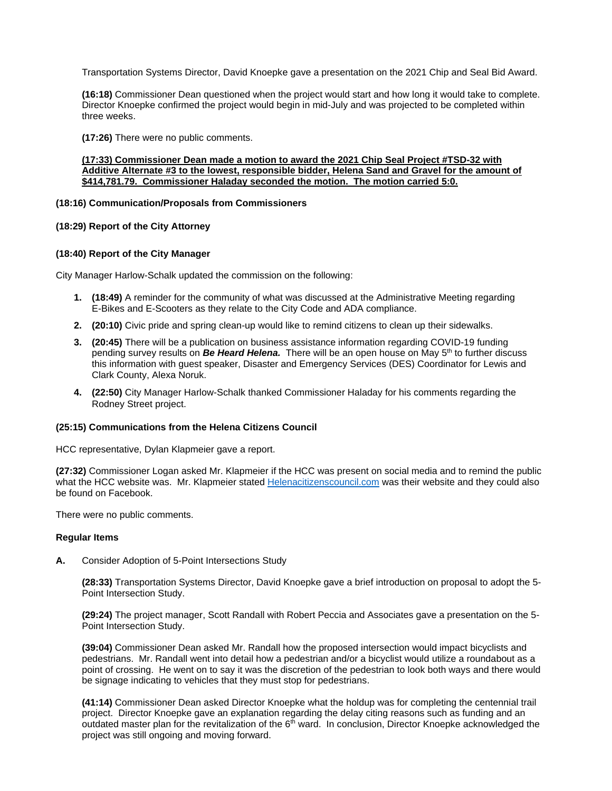Transportation Systems Director, David Knoepke gave a presentation on the 2021 Chip and Seal Bid Award.

**(16:18)** Commissioner Dean questioned when the project would start and how long it would take to complete. Director Knoepke confirmed the project would begin in mid-July and was projected to be completed within three weeks.

**(17:26)** There were no public comments.

## **(17:33) Commissioner Dean made a motion to award the 2021 Chip Seal Project #TSD-32 with Additive Alternate #3 to the lowest, responsible bidder, Helena Sand and Gravel for the amount of \$414,781.79. Commissioner Haladay seconded the motion. The motion carried 5:0.**

#### **(18:16) Communication/Proposals from Commissioners**

## **(18:29) Report of the City Attorney**

## **(18:40) Report of the City Manager**

City Manager Harlow-Schalk updated the commission on the following:

- **1. (18:49)** A reminder for the community of what was discussed at the Administrative Meeting regarding E-Bikes and E-Scooters as they relate to the City Code and ADA compliance.
- **2. (20:10)** Civic pride and spring clean-up would like to remind citizens to clean up their sidewalks.
- **3. (20:45)** There will be a publication on business assistance information regarding COVID-19 funding pending survey results on *Be Heard Helena.*There will be an open house on May 5th to further discuss this information with guest speaker, Disaster and Emergency Services (DES) Coordinator for Lewis and Clark County, Alexa Noruk.
- **4. (22:50)** City Manager Harlow-Schalk thanked Commissioner Haladay for his comments regarding the Rodney Street project.

#### **(25:15) Communications from the Helena Citizens Council**

HCC representative, Dylan Klapmeier gave a report.

**(27:32)** Commissioner Logan asked Mr. Klapmeier if the HCC was present on social media and to remind the public what the HCC website was. Mr. Klapmeier state[d Helenacitizenscouncil.com](Helenacitizenscouncil.com) was their website and they could also be found on Facebook.

There were no public comments.

#### **Regular Items**

**A.** Consider Adoption of 5-Point Intersections Study

**(28:33)** Transportation Systems Director, David Knoepke gave a brief introduction on proposal to adopt the 5- Point Intersection Study.

**(29:24)** The project manager, Scott Randall with Robert Peccia and Associates gave a presentation on the 5- Point Intersection Study.

**(39:04)** Commissioner Dean asked Mr. Randall how the proposed intersection would impact bicyclists and pedestrians. Mr. Randall went into detail how a pedestrian and/or a bicyclist would utilize a roundabout as a point of crossing. He went on to say it was the discretion of the pedestrian to look both ways and there would be signage indicating to vehicles that they must stop for pedestrians.

**(41:14)** Commissioner Dean asked Director Knoepke what the holdup was for completing the centennial trail project. Director Knoepke gave an explanation regarding the delay citing reasons such as funding and an outdated master plan for the revitalization of the 6<sup>th</sup> ward. In conclusion, Director Knoepke acknowledged the project was still ongoing and moving forward.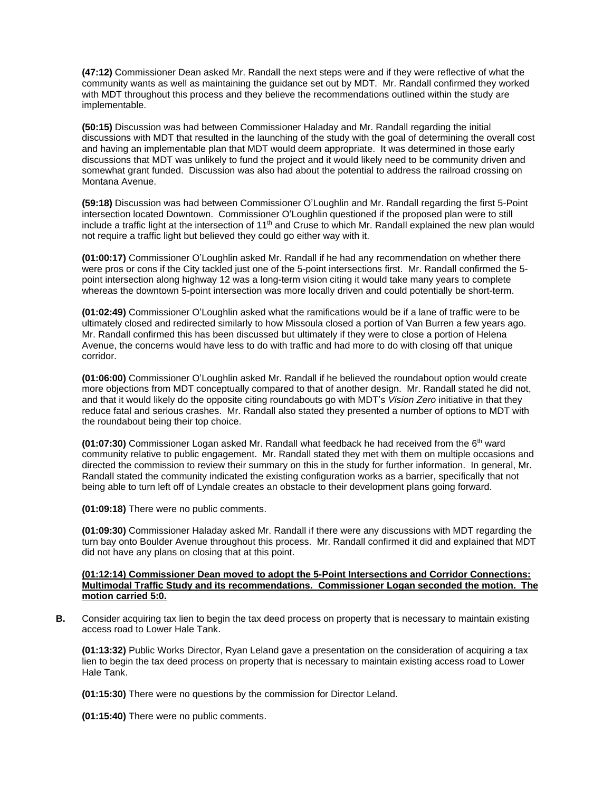**(47:12)** Commissioner Dean asked Mr. Randall the next steps were and if they were reflective of what the community wants as well as maintaining the guidance set out by MDT. Mr. Randall confirmed they worked with MDT throughout this process and they believe the recommendations outlined within the study are implementable.

**(50:15)** Discussion was had between Commissioner Haladay and Mr. Randall regarding the initial discussions with MDT that resulted in the launching of the study with the goal of determining the overall cost and having an implementable plan that MDT would deem appropriate. It was determined in those early discussions that MDT was unlikely to fund the project and it would likely need to be community driven and somewhat grant funded. Discussion was also had about the potential to address the railroad crossing on Montana Avenue.

**(59:18)** Discussion was had between Commissioner O'Loughlin and Mr. Randall regarding the first 5-Point intersection located Downtown. Commissioner O'Loughlin questioned if the proposed plan were to still include a traffic light at the intersection of 11<sup>th</sup> and Cruse to which Mr. Randall explained the new plan would not require a traffic light but believed they could go either way with it.

**(01:00:17)** Commissioner O'Loughlin asked Mr. Randall if he had any recommendation on whether there were pros or cons if the City tackled just one of the 5-point intersections first. Mr. Randall confirmed the 5 point intersection along highway 12 was a long-term vision citing it would take many years to complete whereas the downtown 5-point intersection was more locally driven and could potentially be short-term.

**(01:02:49)** Commissioner O'Loughlin asked what the ramifications would be if a lane of traffic were to be ultimately closed and redirected similarly to how Missoula closed a portion of Van Burren a few years ago. Mr. Randall confirmed this has been discussed but ultimately if they were to close a portion of Helena Avenue, the concerns would have less to do with traffic and had more to do with closing off that unique corridor.

**(01:06:00)** Commissioner O'Loughlin asked Mr. Randall if he believed the roundabout option would create more objections from MDT conceptually compared to that of another design. Mr. Randall stated he did not, and that it would likely do the opposite citing roundabouts go with MDT's *Vision Zero* initiative in that they reduce fatal and serious crashes. Mr. Randall also stated they presented a number of options to MDT with the roundabout being their top choice.

**(01:07:30)** Commissioner Logan asked Mr. Randall what feedback he had received from the 6th ward community relative to public engagement. Mr. Randall stated they met with them on multiple occasions and directed the commission to review their summary on this in the study for further information. In general, Mr. Randall stated the community indicated the existing configuration works as a barrier, specifically that not being able to turn left off of Lyndale creates an obstacle to their development plans going forward.

**(01:09:18)** There were no public comments.

**(01:09:30)** Commissioner Haladay asked Mr. Randall if there were any discussions with MDT regarding the turn bay onto Boulder Avenue throughout this process. Mr. Randall confirmed it did and explained that MDT did not have any plans on closing that at this point.

#### **(01:12:14) Commissioner Dean moved to adopt the 5-Point Intersections and Corridor Connections: Multimodal Traffic Study and its recommendations. Commissioner Logan seconded the motion. The motion carried 5:0.**

**B.** Consider acquiring tax lien to begin the tax deed process on property that is necessary to maintain existing access road to Lower Hale Tank.

**(01:13:32)** Public Works Director, Ryan Leland gave a presentation on the consideration of acquiring a tax lien to begin the tax deed process on property that is necessary to maintain existing access road to Lower Hale Tank.

**(01:15:30)** There were no questions by the commission for Director Leland.

**(01:15:40)** There were no public comments.